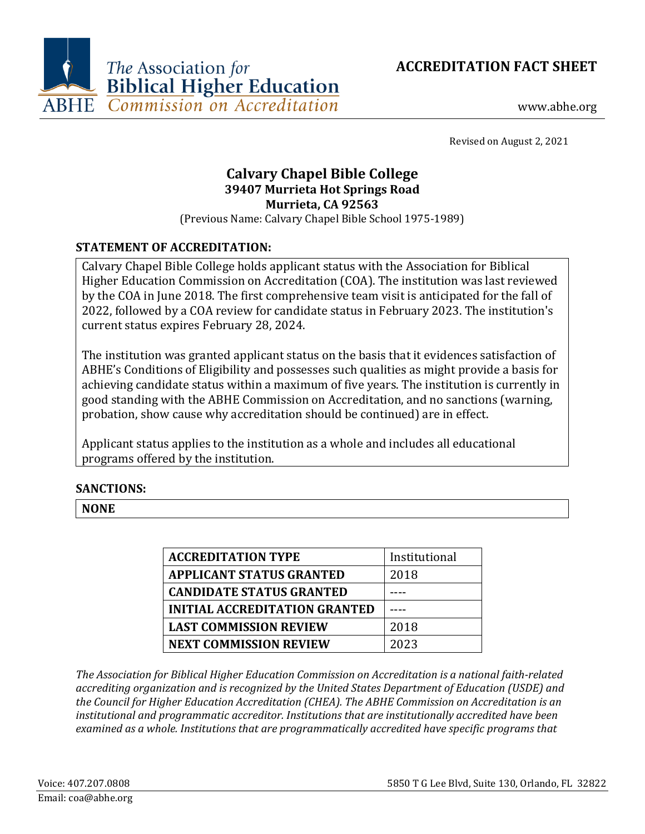



www.abhe.org

Revised on August 2, 2021

# **Calvary Chapel Bible College 39407 Murrieta Hot Springs Road Murrieta, CA 92563**

(Previous Name: Calvary Chapel Bible School 1975-1989)

## **STATEMENT OF ACCREDITATION:**

Calvary Chapel Bible College holds applicant status with the Association for Biblical Higher Education Commission on Accreditation (COA). The institution was last reviewed by the COA in June 2018. The first comprehensive team visit is anticipated for the fall of 2022, followed by a COA review for candidate status in February 2023. The institution's current status expires February 28, 2024.

The institution was granted applicant status on the basis that it evidences satisfaction of ABHE's Conditions of Eligibility and possesses such qualities as might provide a basis for achieving candidate status within a maximum of five years. The institution is currently in good standing with the ABHE Commission on Accreditation, and no sanctions (warning, probation, show cause why accreditation should be continued) are in effect.

Applicant status applies to the institution as a whole and includes all educational programs offered by the institution.

#### **SANCTIONS:**

**NONE**

| <b>ACCREDITATION TYPE</b>            | Institutional |
|--------------------------------------|---------------|
| <b>APPLICANT STATUS GRANTED</b>      | 2018          |
| <b>CANDIDATE STATUS GRANTED</b>      |               |
| <b>INITIAL ACCREDITATION GRANTED</b> |               |
| <b>LAST COMMISSION REVIEW</b>        | 2018          |
| <b>NEXT COMMISSION REVIEW</b>        | 2023          |

*The Association for Biblical Higher Education Commission on Accreditation is a national faith-related accrediting organization and is recognized by the United States Department of Education (USDE) and the Council for Higher Education Accreditation (CHEA). The ABHE Commission on Accreditation is an institutional and programmatic accreditor. Institutions that are institutionally accredited have been examined as a whole. Institutions that are programmatically accredited have specific programs that*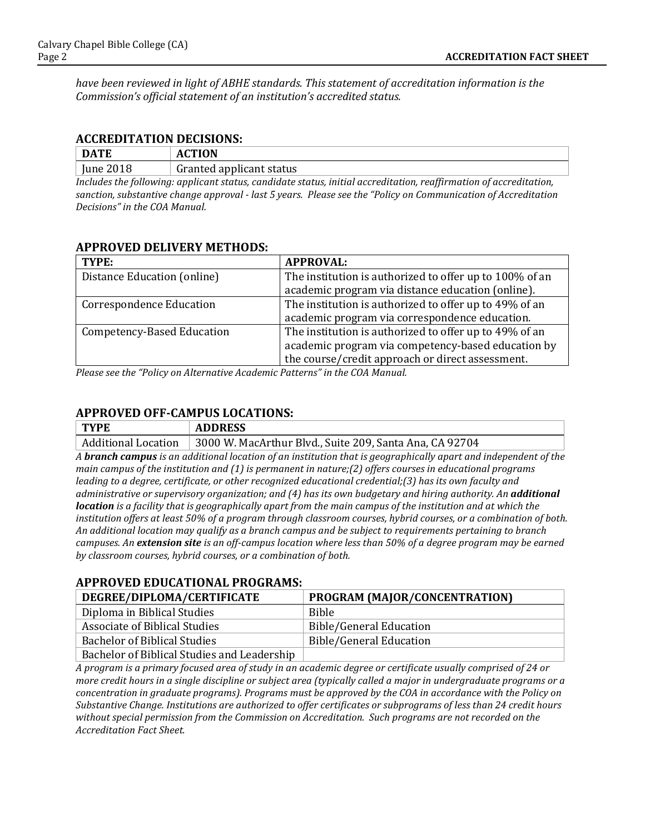*have been reviewed in light of ABHE standards. This statement of accreditation information is the Commission's official statement of an institution's accredited status.*

#### **ACCREDITATION DECISIONS:**

| DATE                                                                                                              | <b>ACTION</b>            |  |
|-------------------------------------------------------------------------------------------------------------------|--------------------------|--|
| June 2018                                                                                                         | Granted applicant status |  |
| Includes the following: annlicant status, candidate status, initial accreditation, reaffirmation of accreditation |                          |  |

*Includes the following: applicant status, candidate status, initial accreditation, reaffirmation of accreditation, sanction, substantive change approval - last 5 years. Please see the "Policy on Communication of Accreditation Decisions" in the COA Manual.*

#### **APPROVED DELIVERY METHODS:**

| TYPE:                             | <b>APPROVAL:</b>                                        |
|-----------------------------------|---------------------------------------------------------|
| Distance Education (online)       | The institution is authorized to offer up to 100% of an |
|                                   | academic program via distance education (online).       |
| <b>Correspondence Education</b>   | The institution is authorized to offer up to 49% of an  |
|                                   | academic program via correspondence education.          |
| <b>Competency-Based Education</b> | The institution is authorized to offer up to 49% of an  |
|                                   | academic program via competency-based education by      |
|                                   | the course/credit approach or direct assessment.        |

*Please see the "Policy on Alternative Academic Patterns" in the COA Manual.*

### **APPROVED OFF-CAMPUS LOCATIONS:**

| <b>TYPE</b>                                                                                                            | <b>ADDRESS</b>                                          |  |
|------------------------------------------------------------------------------------------------------------------------|---------------------------------------------------------|--|
| <b>Additional Location</b>                                                                                             | 3000 W. MacArthur Blvd., Suite 209, Santa Ana, CA 92704 |  |
| A <b>branch campus</b> is an additional location of an institution that is geographically apart and independent of the |                                                         |  |
| main campus of the institution and (1) is permanent in nature; (2) offers courses in educational programs              |                                                         |  |

*leading to a degree, certificate, or other recognized educational credential;(3) has its own faculty and administrative or supervisory organization; and (4) has its own budgetary and hiring authority. An additional location is a facility that is geographically apart from the main campus of the institution and at which the institution offers at least 50% of a program through classroom courses, hybrid courses, or a combination of both. An additional location may qualify as a branch campus and be subject to requirements pertaining to branch campuses. An extension site is an off-campus location where less than 50% of a degree program may be earned by classroom courses, hybrid courses, or a combination of both.*

### **APPROVED EDUCATIONAL PROGRAMS:**

| DEGREE/DIPLOMA/CERTIFICATE                  | PROGRAM (MAJOR/CONCENTRATION)  |
|---------------------------------------------|--------------------------------|
| Diploma in Biblical Studies                 | Bible                          |
| Associate of Biblical Studies               | Bible/General Education        |
| <b>Bachelor of Biblical Studies</b>         | <b>Bible/General Education</b> |
| Bachelor of Biblical Studies and Leadership |                                |

*A program is a primary focused area of study in an academic degree or certificate usually comprised of 24 or more credit hours in a single discipline or subject area (typically called a major in undergraduate programs or a concentration in graduate programs). Programs must be approved by the COA in accordance with the Policy on Substantive Change. Institutions are authorized to offer certificates or subprograms of less than 24 credit hours without special permission from the Commission on Accreditation. Such programs are not recorded on the Accreditation Fact Sheet.*